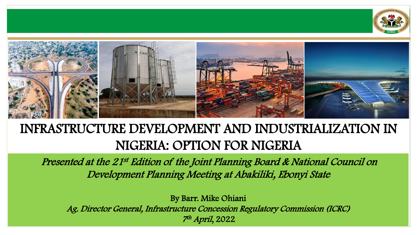



#### INFRASTRUCTURE DEVELOPMENT AND INDUSTRIALIZATION IN NIGERIA: OPTION FOR NIGERIA

Presented at the 21st Edition of the Joint Planning Board & National Council on Development Planning Meeting at Abakiliki, Ebonyi State

By Barr. Mike Ohiani

Ag. Director General, Infrastructure Concession Regulatory Commission (ICRC) 7th April, 2022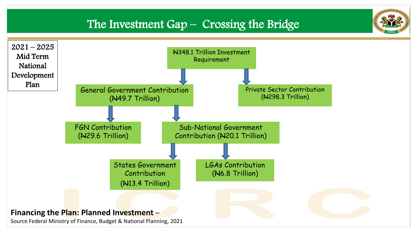#### The Investment Gap  $-$  Crossing the Bridge

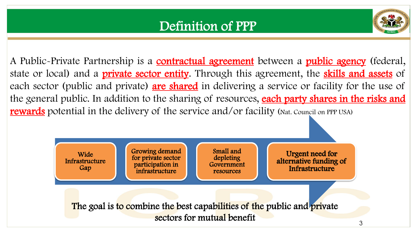#### Definition of PPP



A Public-Private Partnership is a **contractual agreement** between a **public agency** (federal, state or local) and a **private sector entity**. Through this agreement, the **skills and assets** of each sector (public and private) are shared in delivering a service or facility for the use of the general public. In addition to the sharing of resources, each party shares in the risks and rewards potential in the delivery of the service and/or facility (Nat. Council on PPP USA)

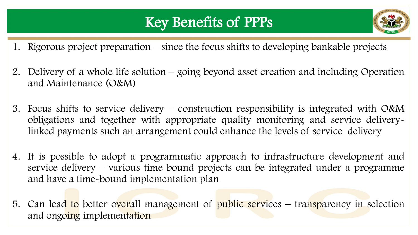#### Key Benefits of PPPs



- 1. Rigorous project preparation since the focus shifts to developing bankable projects
- 2. Delivery of a whole life solution going beyond asset creation and including Operation and Maintenance (O&M)
- 3. Focus shifts to service delivery construction responsibility is integrated with O&M obligations and together with appropriate quality monitoring and service deliverylinked payments such an arrangement could enhance the levels of service delivery
- 4. It is possible to adopt a programmatic approach to infrastructure development and service delivery – various time bound projects can be integrated under a programme and have a time-bound implementation plan
- 5. Can lead to better overall management of public services transparency in selection and ongoing implementation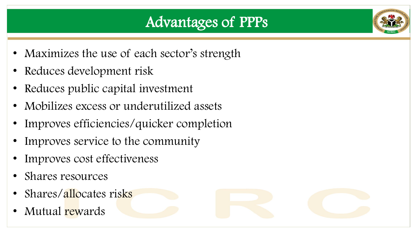## Advantages of PPPs

- Maximizes the use of each sector's strength
- Reduces development risk
- Reduces public capital investment
- Mobilizes excess or underutilized assets
- Improves efficiencies/quicker completion
- Improves service to the community
- Improves cost effectiveness
- Shares resources
- Shares/allocates risks
- Mutual rewards



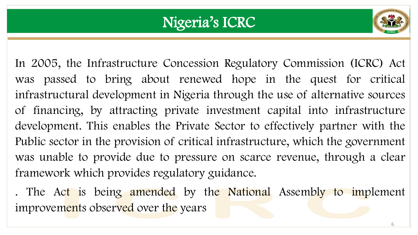## Nigeria's ICRC



In 2005, the Infrastructure Concession Regulatory Commission (ICRC) Act was passed to bring about renewed hope in the quest for critical infrastructural development in Nigeria through the use of alternative sources of financing, by attracting private investment capital into infrastructure development. This enables the Private Sector to effectively partner with the Public sector in the provision of critical infrastructure, which the government was unable to provide due to pressure on scarce revenue, through a clear framework which provides regulatory guidance.

. The Act is being amended by the National Assembly to implement improvements observed over the years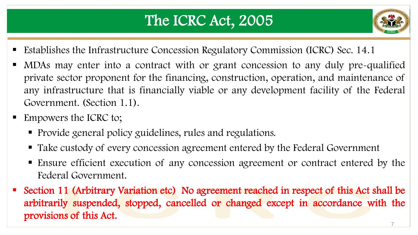## The ICRC Act, 2005



- Establishes the Infrastructure Concession Regulatory Commission (ICRC) Sec. 14.1
- MDAs may enter into a contract with or grant concession to any duly pre-qualified private sector proponent for the financing, construction, operation, and maintenance of any infrastructure that is financially viable or any development facility of the Federal Government. (Section 1.1).
- Empowers the ICRC to;
	- Provide general policy guidelines, rules and regulations.
	- Take custody of every concession agreement entered by the Federal Government
	- Ensure efficient execution of any concession agreement or contract entered by the Federal Government.
- Section 11 (Arbitrary Variation etc) No agreement reached in respect of this Act shall be arbitrarily suspended, stopped, cancelled or changed except in accordance with the provisions of this Act.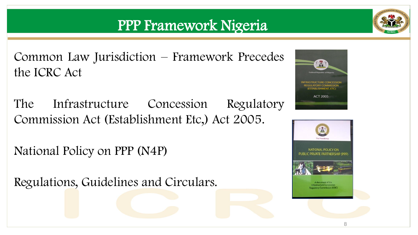#### PPP Framework Nigeria

Common Law Jurisdiction – Framework Precedes the ICRC Act

The Infrastructure Concession Regulatory Commission Act (Establishment Etc,) Act 2005.

National Policy on PPP (N4P)

Regulations, Guidelines and Circulars.





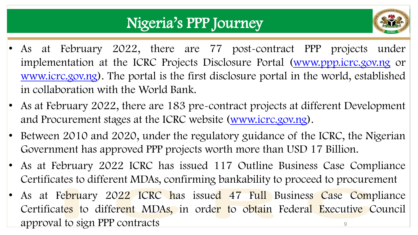# Nigeria's PPP Journey



- As at February 2022, there are 77 post-contract PPP projects under implementation at the ICRC Projects Disclosure Portal ([www.ppp.icrc.gov.ng](http://www.ppp.icrc.gov.ng/) or [www.icrc.gov.ng\)](http://www.icrc.gov.ng/). The portal is the first disclosure portal in the world, established in collaboration with the World Bank.
- As at February 2022, there are 183 pre-contract projects at different Development and Procurement stages at the ICRC website [\(www.icrc.gov.ng](http://www.icrc.gov.ng/)).
- Between 2010 and 2020, under the regulatory guidance of the ICRC, the Nigerian Government has approved PPP projects worth more than USD 17 Billion.
- As at February 2022 ICRC has issued 117 Outline Business Case Compliance Certificates to different MDAs, confirming bankability to proceed to procurement
- As at February 2022 ICRC has issued 47 Full Business Case Compliance Certificates to different MDAs, in order to obtain Federal Executive Council approval to sign PPP contracts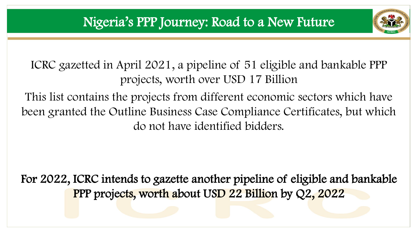#### Nigeria's PPP Journey: Road to a New Future

ICRC gazetted in April 2021, a pipeline of 51 eligible and bankable PPP projects, worth over USD 17 Billion

This list contains the projects from different economic sectors which have been granted the Outline Business Case Compliance Certificates, but which do not have identified bidders.

For 2022, ICRC intends to gazette another pipeline of eligible and bankable PPP projects, worth about USD 22 Billion by Q2, 2022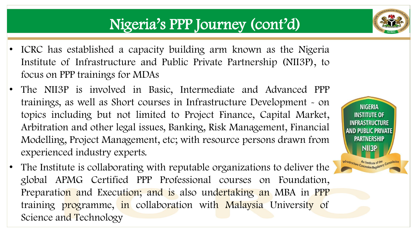

**NIGERIA INSTITUTE OF INFRASTRUCTURE AND PUBLIC PRIVATE PARTNERSHIP** 

ucture Concession Regulator

## Nigeria's PPP Journey (cont'd)

- ICRC has established a capacity building arm known as the Nigeria Institute of Infrastructure and Public Private Partnership (NII3P), to focus on PPP trainings for MDAs
- The NII3P is involved in Basic, Intermediate and Advanced PPP trainings, as well as Short courses in Infrastructure Development - on topics including but not limited to Project Finance, Capital Market, Arbitration and other legal issues, Banking, Risk Management, Financial Modelling, Project Management, etc; with resource persons drawn from experienced industry experts.
- The Institute is collaborating with reputable organizations to deliver the global APMG Certified PPP Professional courses on Foundation, Preparation and Execution; and is also undertaking an MBA in PPP training programme, in collaboration with Malaysia University of Science and Technology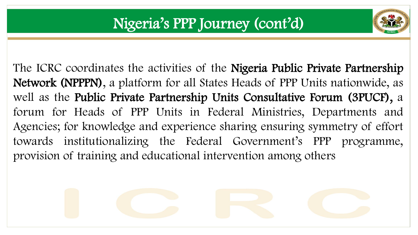

The ICRC coordinates the activities of the Nigeria Public Private Partnership Network (NPPPN), a platform for all States Heads of PPP Units nationwide, as well as the Public Private Partnership Units Consultative Forum (3PUCF), a forum for Heads of PPP Units in Federal Ministries, Departments and Agencies; for knowledge and experience sharing ensuring symmetry of effort towards institutionalizing the Federal Government's PPP programme, provision of training and educational intervention among others